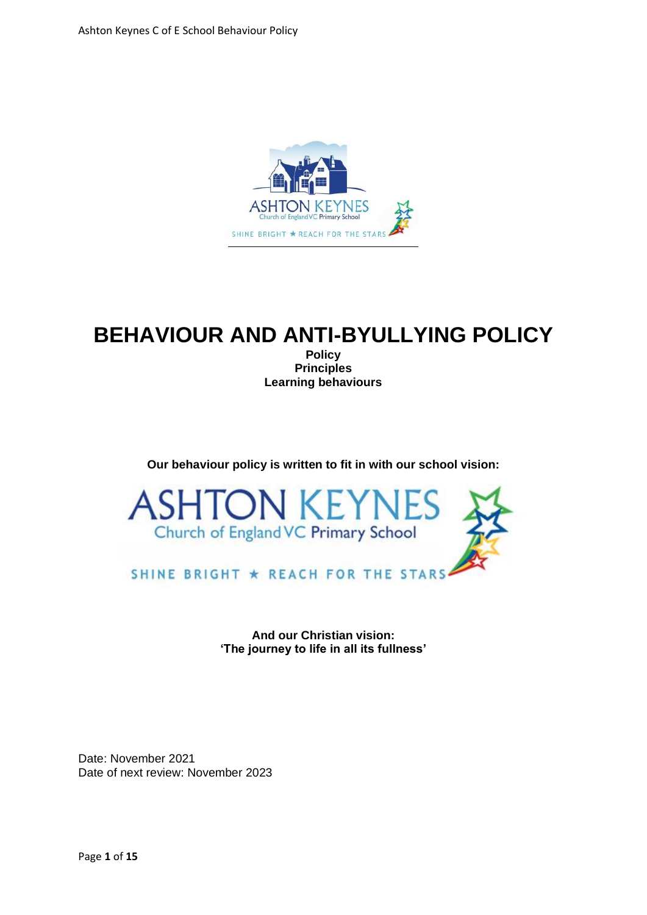

# **BEHAVIOUR AND ANTI-BYULLYING POLICY**

**Policy Principles Learning behaviours** 

#### **Our behaviour policy is written to fit in with our school vision:**



**And our Christian vision: 'The journey to life in all its fullness'**

Date: November 2021 Date of next review: November 2023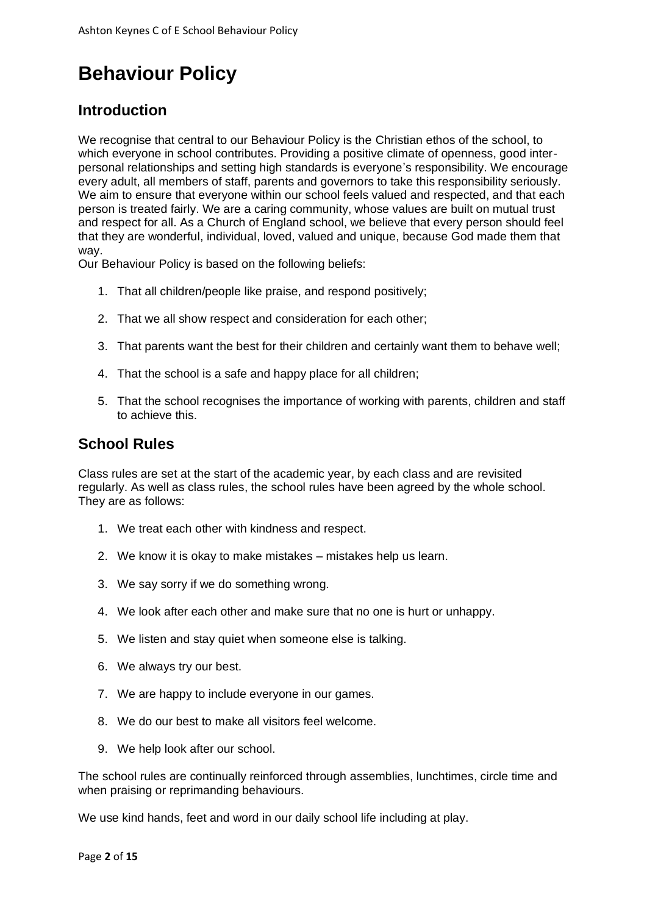# **Behaviour Policy**

#### **Introduction**

We recognise that central to our Behaviour Policy is the Christian ethos of the school, to which everyone in school contributes. Providing a positive climate of openness, good interpersonal relationships and setting high standards is everyone's responsibility. We encourage every adult, all members of staff, parents and governors to take this responsibility seriously. We aim to ensure that everyone within our school feels valued and respected, and that each person is treated fairly. We are a caring community, whose values are built on mutual trust and respect for all. As a Church of England school, we believe that every person should feel that they are wonderful, individual, loved, valued and unique, because God made them that way.

Our Behaviour Policy is based on the following beliefs:

- 1. That all children/people like praise, and respond positively;
- 2. That we all show respect and consideration for each other;
- 3. That parents want the best for their children and certainly want them to behave well;
- 4. That the school is a safe and happy place for all children;
- 5. That the school recognises the importance of working with parents, children and staff to achieve this.

#### **School Rules**

Class rules are set at the start of the academic year, by each class and are revisited regularly. As well as class rules, the school rules have been agreed by the whole school. They are as follows:

- 1. We treat each other with kindness and respect.
- 2. We know it is okay to make mistakes mistakes help us learn.
- 3. We say sorry if we do something wrong.
- 4. We look after each other and make sure that no one is hurt or unhappy.
- 5. We listen and stay quiet when someone else is talking.
- 6. We always try our best.
- 7. We are happy to include everyone in our games.
- 8. We do our best to make all visitors feel welcome.
- 9. We help look after our school.

The school rules are continually reinforced through assemblies, lunchtimes, circle time and when praising or reprimanding behaviours.

We use kind hands, feet and word in our daily school life including at play.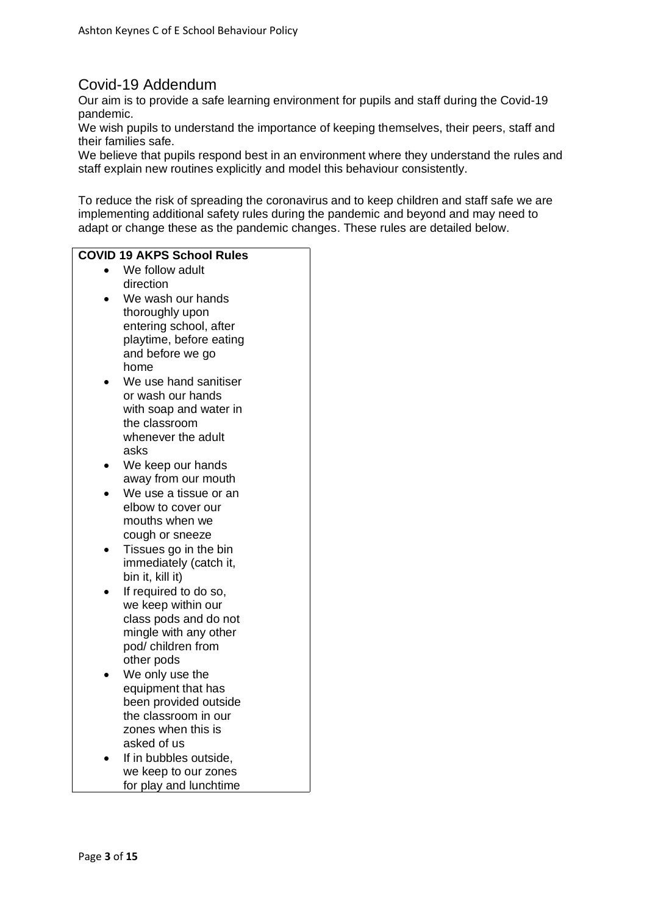## Covid-19 Addendum

Our aim is to provide a safe learning environment for pupils and staff during the Covid-19 pandemic.

We wish pupils to understand the importance of keeping themselves, their peers, staff and their families safe.

We believe that pupils respond best in an environment where they understand the rules and staff explain new routines explicitly and model this behaviour consistently.

To reduce the risk of spreading the coronavirus and to keep children and staff safe we are implementing additional safety rules during the pandemic and beyond and may need to adapt or change these as the pandemic changes. These rules are detailed below.

#### **COVID 19 AKPS School Rules**

- We follow adult direction
- We wash our hands thoroughly upon entering school, after playtime, before eating and before we go home
- We use hand sanitiser or wash our hands with soap and water in the classroom whenever the adult asks
- We keep our hands away from our mouth
- We use a tissue or an elbow to cover our mouths when we cough or sneeze
- Tissues go in the bin immediately (catch it, bin it, kill it)
- If required to do so. we keep within our class pods and do not mingle with any other pod/ children from other pods
- We only use the equipment that has been provided outside the classroom in our zones when this is asked of us
- If in bubbles outside. we keep to our zones for play and lunchtime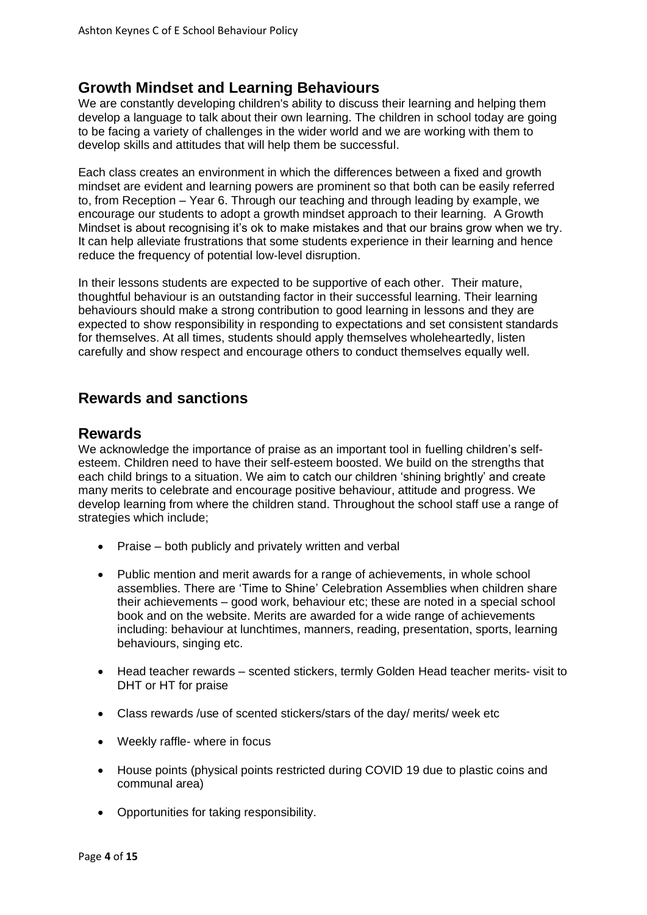#### **Growth Mindset and Learning Behaviours**

We are constantly developing children's ability to discuss their learning and helping them develop a language to talk about their own learning. The children in school today are going to be facing a variety of challenges in the wider world and we are working with them to develop skills and attitudes that will help them be successful.

Each class creates an environment in which the differences between a fixed and growth mindset are evident and learning powers are prominent so that both can be easily referred to, from Reception – Year 6. Through our teaching and through leading by example, we encourage our students to adopt a growth mindset approach to their learning. A Growth Mindset is about recognising it's ok to make mistakes and that our brains grow when we try. It can help alleviate frustrations that some students experience in their learning and hence reduce the frequency of potential low‐level disruption.

In their lessons students are expected to be supportive of each other. Their mature, thoughtful behaviour is an outstanding factor in their successful learning. Their learning behaviours should make a strong contribution to good learning in lessons and they are expected to show responsibility in responding to expectations and set consistent standards for themselves. At all times, students should apply themselves wholeheartedly, listen carefully and show respect and encourage others to conduct themselves equally well.

#### **Rewards and sanctions**

#### **Rewards**

We acknowledge the importance of praise as an important tool in fuelling children's selfesteem. Children need to have their self-esteem boosted. We build on the strengths that each child brings to a situation. We aim to catch our children 'shining brightly' and create many merits to celebrate and encourage positive behaviour, attitude and progress. We develop learning from where the children stand. Throughout the school staff use a range of strategies which include;

- Praise both publicly and privately written and verbal
- Public mention and merit awards for a range of achievements, in whole school assemblies. There are 'Time to Shine' Celebration Assemblies when children share their achievements – good work, behaviour etc; these are noted in a special school book and on the website. Merits are awarded for a wide range of achievements including: behaviour at lunchtimes, manners, reading, presentation, sports, learning behaviours, singing etc.
- Head teacher rewards scented stickers, termly Golden Head teacher merits- visit to DHT or HT for praise
- Class rewards /use of scented stickers/stars of the day/ merits/ week etc
- Weekly raffle- where in focus
- House points (physical points restricted during COVID 19 due to plastic coins and communal area)
- Opportunities for taking responsibility.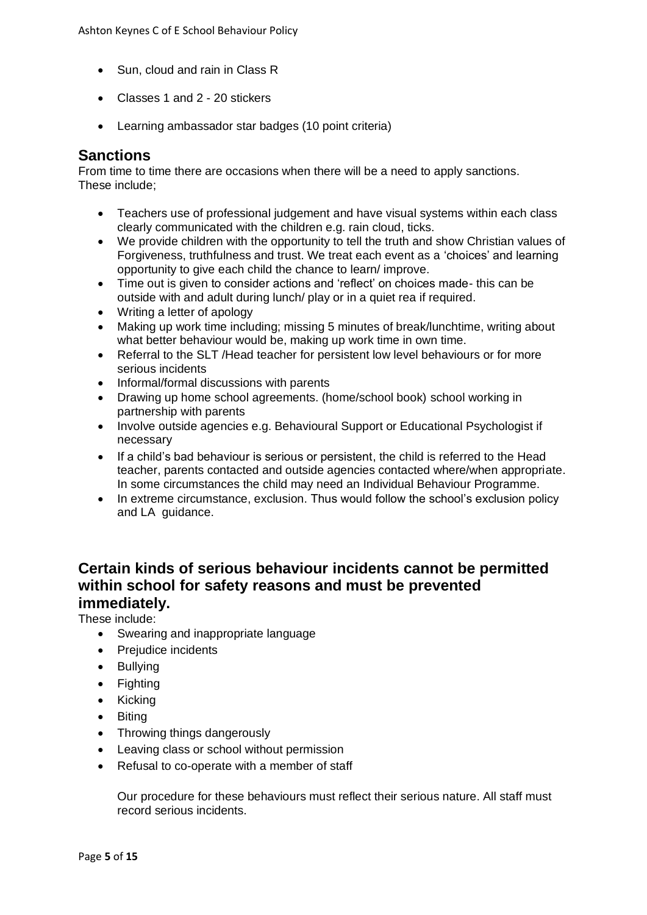- Sun, cloud and rain in Class R
- Classes 1 and 2 20 stickers
- Learning ambassador star badges (10 point criteria)

#### **Sanctions**

From time to time there are occasions when there will be a need to apply sanctions. These include;

- Teachers use of professional judgement and have visual systems within each class clearly communicated with the children e.g. rain cloud, ticks.
- We provide children with the opportunity to tell the truth and show Christian values of Forgiveness, truthfulness and trust. We treat each event as a 'choices' and learning opportunity to give each child the chance to learn/ improve.
- Time out is given to consider actions and 'reflect' on choices made- this can be outside with and adult during lunch/ play or in a quiet rea if required.
- Writing a letter of apology
- Making up work time including; missing 5 minutes of break/lunchtime, writing about what better behaviour would be, making up work time in own time.
- Referral to the SLT /Head teacher for persistent low level behaviours or for more serious incidents
- Informal/formal discussions with parents
- Drawing up home school agreements. (home/school book) school working in partnership with parents
- Involve outside agencies e.g. Behavioural Support or Educational Psychologist if necessary
- If a child's bad behaviour is serious or persistent, the child is referred to the Head teacher, parents contacted and outside agencies contacted where/when appropriate. In some circumstances the child may need an Individual Behaviour Programme.
- In extreme circumstance, exclusion. Thus would follow the school's exclusion policy and LA guidance.

#### **Certain kinds of serious behaviour incidents cannot be permitted within school for safety reasons and must be prevented immediately.**

These include:

- Swearing and inappropriate language
- Prejudice incidents
- Bullying
- Fighting
- Kicking
- Biting
- Throwing things dangerously
- Leaving class or school without permission
- Refusal to co-operate with a member of staff

Our procedure for these behaviours must reflect their serious nature. All staff must record serious incidents.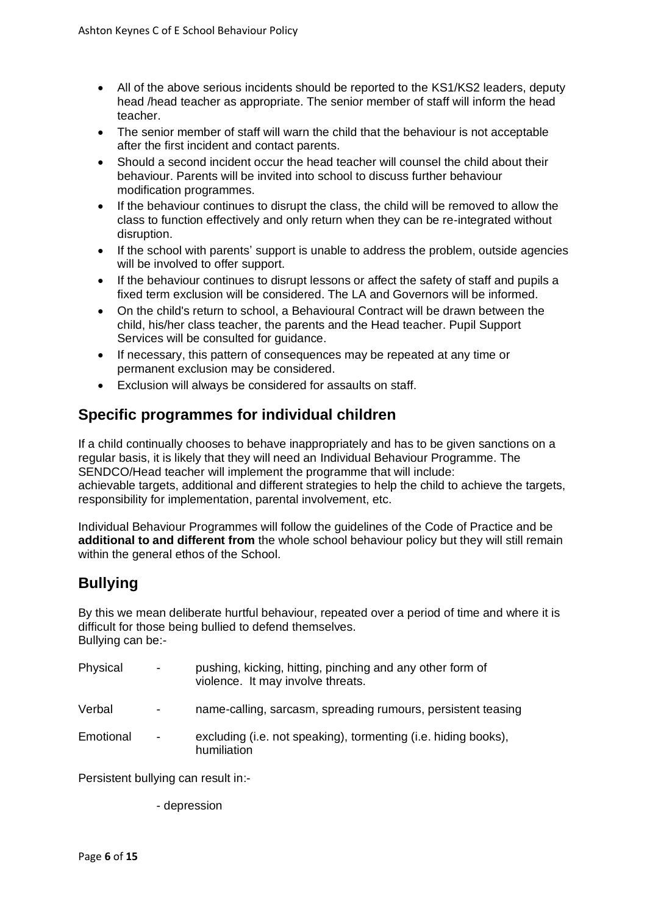- All of the above serious incidents should be reported to the KS1/KS2 leaders, deputy head /head teacher as appropriate. The senior member of staff will inform the head teacher.
- The senior member of staff will warn the child that the behaviour is not acceptable after the first incident and contact parents.
- Should a second incident occur the head teacher will counsel the child about their behaviour. Parents will be invited into school to discuss further behaviour modification programmes.
- If the behaviour continues to disrupt the class, the child will be removed to allow the class to function effectively and only return when they can be re-integrated without disruption.
- If the school with parents' support is unable to address the problem, outside agencies will be involved to offer support.
- If the behaviour continues to disrupt lessons or affect the safety of staff and pupils a fixed term exclusion will be considered. The LA and Governors will be informed.
- On the child's return to school, a Behavioural Contract will be drawn between the child, his/her class teacher, the parents and the Head teacher. Pupil Support Services will be consulted for guidance.
- If necessary, this pattern of consequences may be repeated at any time or permanent exclusion may be considered.
- Exclusion will always be considered for assaults on staff.

## **Specific programmes for individual children**

If a child continually chooses to behave inappropriately and has to be given sanctions on a regular basis, it is likely that they will need an Individual Behaviour Programme. The SENDCO/Head teacher will implement the programme that will include: achievable targets, additional and different strategies to help the child to achieve the targets, responsibility for implementation, parental involvement, etc.

Individual Behaviour Programmes will follow the guidelines of the Code of Practice and be **additional to and different from** the whole school behaviour policy but they will still remain within the general ethos of the School.

## **Bullying**

By this we mean deliberate hurtful behaviour, repeated over a period of time and where it is difficult for those being bullied to defend themselves. Bullying can be:-

| Physical  | $\blacksquare$           | pushing, kicking, hitting, pinching and any other form of<br>violence. It may involve threats. |
|-----------|--------------------------|------------------------------------------------------------------------------------------------|
| Verbal    | $\overline{\phantom{a}}$ | name-calling, sarcasm, spreading rumours, persistent teasing                                   |
| Emotional | $\overline{\phantom{a}}$ | excluding (i.e. not speaking), tormenting (i.e. hiding books),<br>humiliation                  |

Persistent bullying can result in:-

- depression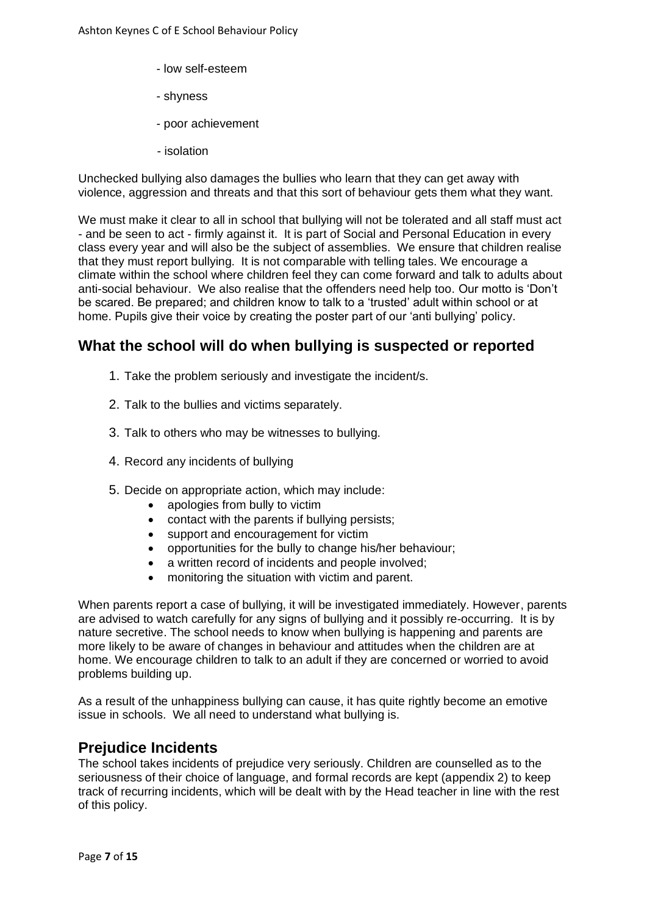- low self-esteem
- shyness
- poor achievement
- isolation

Unchecked bullying also damages the bullies who learn that they can get away with violence, aggression and threats and that this sort of behaviour gets them what they want.

We must make it clear to all in school that bullying will not be tolerated and all staff must act - and be seen to act - firmly against it. It is part of Social and Personal Education in every class every year and will also be the subject of assemblies. We ensure that children realise that they must report bullying. It is not comparable with telling tales. We encourage a climate within the school where children feel they can come forward and talk to adults about anti-social behaviour. We also realise that the offenders need help too. Our motto is 'Don't be scared. Be prepared; and children know to talk to a 'trusted' adult within school or at home. Pupils give their voice by creating the poster part of our 'anti bullying' policy.

#### **What the school will do when bullying is suspected or reported**

- 1. Take the problem seriously and investigate the incident/s.
- 2. Talk to the bullies and victims separately.
- 3. Talk to others who may be witnesses to bullying.
- 4. Record any incidents of bullying
- 5. Decide on appropriate action, which may include:
	- apologies from bully to victim
	- contact with the parents if bullying persists;
	- support and encouragement for victim
	- opportunities for the bully to change his/her behaviour;
	- a written record of incidents and people involved;
	- monitoring the situation with victim and parent.

When parents report a case of bullying, it will be investigated immediately. However, parents are advised to watch carefully for any signs of bullying and it possibly re-occurring. It is by nature secretive. The school needs to know when bullying is happening and parents are more likely to be aware of changes in behaviour and attitudes when the children are at home. We encourage children to talk to an adult if they are concerned or worried to avoid problems building up.

As a result of the unhappiness bullying can cause, it has quite rightly become an emotive issue in schools. We all need to understand what bullying is.

#### **Prejudice Incidents**

The school takes incidents of prejudice very seriously. Children are counselled as to the seriousness of their choice of language, and formal records are kept (appendix 2) to keep track of recurring incidents, which will be dealt with by the Head teacher in line with the rest of this policy.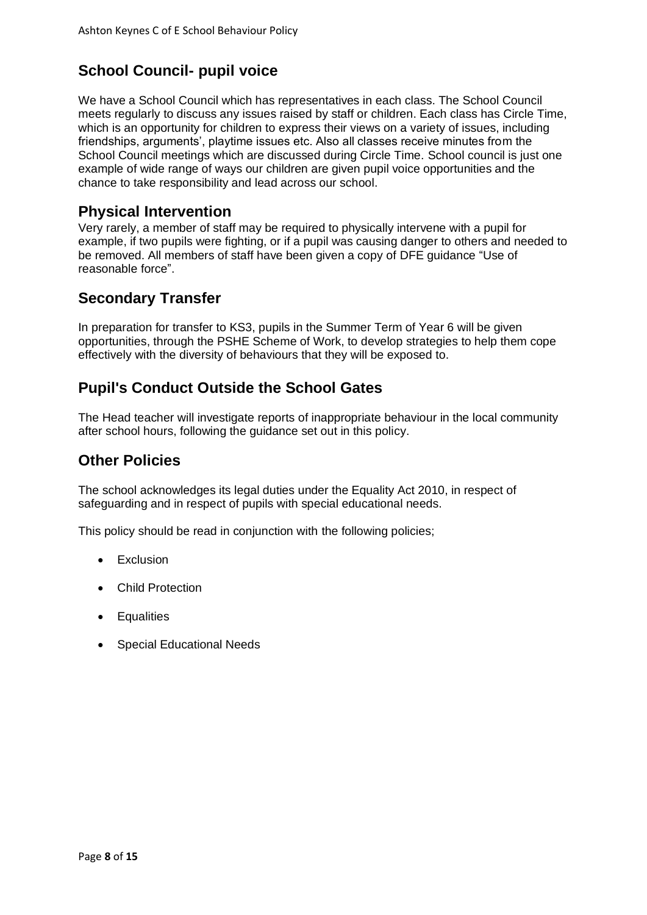# **School Council- pupil voice**

We have a School Council which has representatives in each class. The School Council meets regularly to discuss any issues raised by staff or children. Each class has Circle Time, which is an opportunity for children to express their views on a variety of issues, including friendships, arguments', playtime issues etc. Also all classes receive minutes from the School Council meetings which are discussed during Circle Time. School council is just one example of wide range of ways our children are given pupil voice opportunities and the chance to take responsibility and lead across our school.

#### **Physical Intervention**

Very rarely, a member of staff may be required to physically intervene with a pupil for example, if two pupils were fighting, or if a pupil was causing danger to others and needed to be removed. All members of staff have been given a copy of DFE guidance "Use of reasonable force".

## **Secondary Transfer**

In preparation for transfer to KS3, pupils in the Summer Term of Year 6 will be given opportunities, through the PSHE Scheme of Work, to develop strategies to help them cope effectively with the diversity of behaviours that they will be exposed to.

## **Pupil's Conduct Outside the School Gates**

The Head teacher will investigate reports of inappropriate behaviour in the local community after school hours, following the guidance set out in this policy.

## **Other Policies**

The school acknowledges its legal duties under the Equality Act 2010, in respect of safeguarding and in respect of pupils with special educational needs.

This policy should be read in conjunction with the following policies;

- Exclusion
- Child Protection
- Equalities
- Special Educational Needs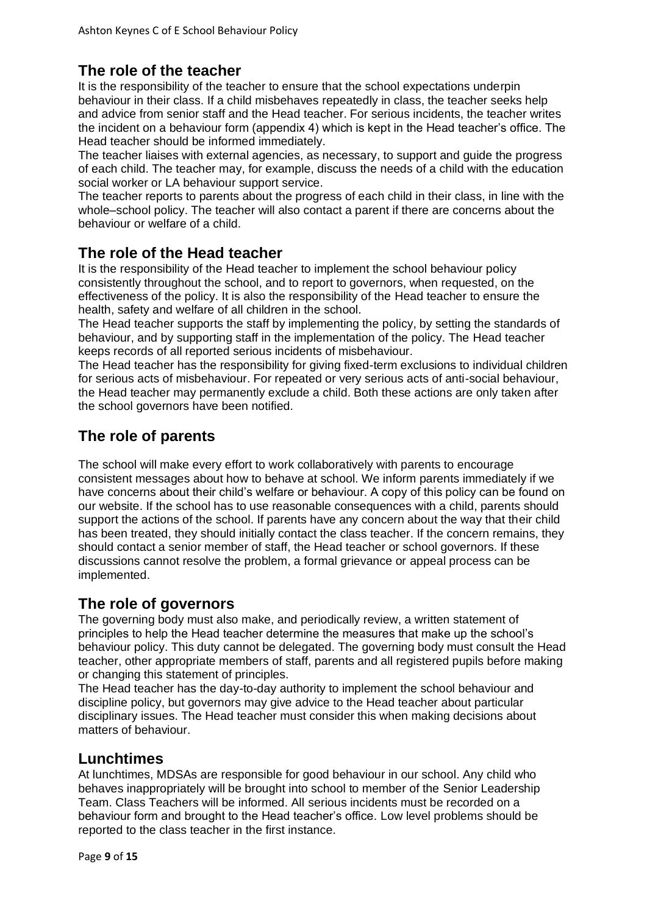## **The role of the teacher**

It is the responsibility of the teacher to ensure that the school expectations underpin behaviour in their class. If a child misbehaves repeatedly in class, the teacher seeks help and advice from senior staff and the Head teacher. For serious incidents, the teacher writes the incident on a behaviour form (appendix 4) which is kept in the Head teacher's office. The Head teacher should be informed immediately.

The teacher liaises with external agencies, as necessary, to support and guide the progress of each child. The teacher may, for example, discuss the needs of a child with the education social worker or LA behaviour support service.

The teacher reports to parents about the progress of each child in their class, in line with the whole–school policy. The teacher will also contact a parent if there are concerns about the behaviour or welfare of a child.

#### **The role of the Head teacher**

It is the responsibility of the Head teacher to implement the school behaviour policy consistently throughout the school, and to report to governors, when requested, on the effectiveness of the policy. It is also the responsibility of the Head teacher to ensure the health, safety and welfare of all children in the school.

The Head teacher supports the staff by implementing the policy, by setting the standards of behaviour, and by supporting staff in the implementation of the policy. The Head teacher keeps records of all reported serious incidents of misbehaviour.

The Head teacher has the responsibility for giving fixed-term exclusions to individual children for serious acts of misbehaviour. For repeated or very serious acts of anti-social behaviour, the Head teacher may permanently exclude a child. Both these actions are only taken after the school governors have been notified.

#### **The role of parents**

The school will make every effort to work collaboratively with parents to encourage consistent messages about how to behave at school. We inform parents immediately if we have concerns about their child's welfare or behaviour. A copy of this policy can be found on our website. If the school has to use reasonable consequences with a child, parents should support the actions of the school. If parents have any concern about the way that their child has been treated, they should initially contact the class teacher. If the concern remains, they should contact a senior member of staff, the Head teacher or school governors. If these discussions cannot resolve the problem, a formal grievance or appeal process can be implemented.

## **The role of governors**

The governing body must also make, and periodically review, a written statement of principles to help the Head teacher determine the measures that make up the school's behaviour policy. This duty cannot be delegated. The governing body must consult the Head teacher, other appropriate members of staff, parents and all registered pupils before making or changing this statement of principles.

The Head teacher has the day-to-day authority to implement the school behaviour and discipline policy, but governors may give advice to the Head teacher about particular disciplinary issues. The Head teacher must consider this when making decisions about matters of behaviour.

#### **Lunchtimes**

At lunchtimes, MDSAs are responsible for good behaviour in our school. Any child who behaves inappropriately will be brought into school to member of the Senior Leadership Team. Class Teachers will be informed. All serious incidents must be recorded on a behaviour form and brought to the Head teacher's office. Low level problems should be reported to the class teacher in the first instance.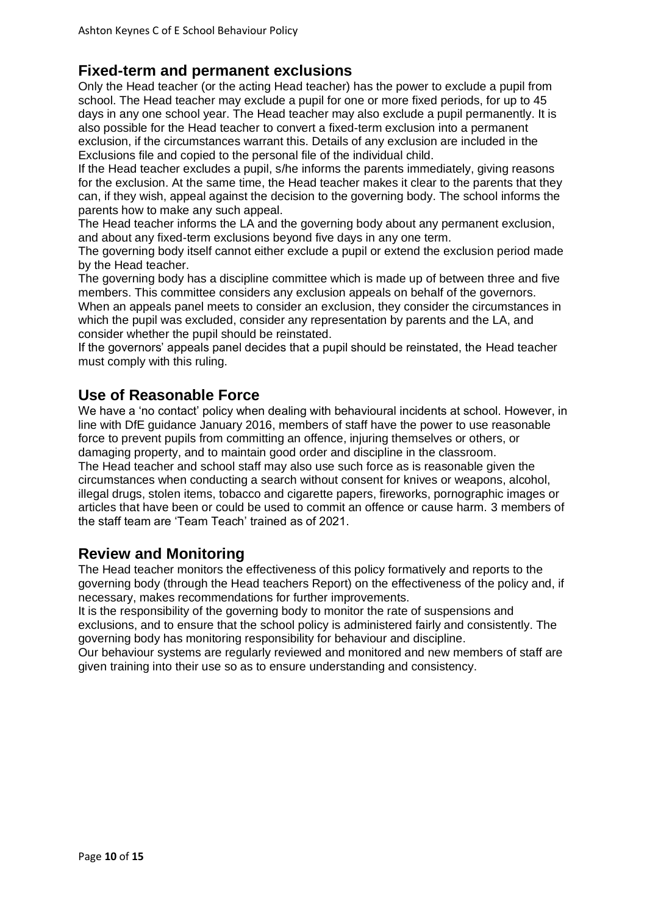#### **Fixed-term and permanent exclusions**

Only the Head teacher (or the acting Head teacher) has the power to exclude a pupil from school. The Head teacher may exclude a pupil for one or more fixed periods, for up to 45 days in any one school year. The Head teacher may also exclude a pupil permanently. It is also possible for the Head teacher to convert a fixed-term exclusion into a permanent exclusion, if the circumstances warrant this. Details of any exclusion are included in the Exclusions file and copied to the personal file of the individual child.

If the Head teacher excludes a pupil, s/he informs the parents immediately, giving reasons for the exclusion. At the same time, the Head teacher makes it clear to the parents that they can, if they wish, appeal against the decision to the governing body. The school informs the parents how to make any such appeal.

The Head teacher informs the LA and the governing body about any permanent exclusion, and about any fixed-term exclusions beyond five days in any one term.

The governing body itself cannot either exclude a pupil or extend the exclusion period made by the Head teacher.

The governing body has a discipline committee which is made up of between three and five members. This committee considers any exclusion appeals on behalf of the governors. When an appeals panel meets to consider an exclusion, they consider the circumstances in which the pupil was excluded, consider any representation by parents and the LA, and consider whether the pupil should be reinstated.

If the governors' appeals panel decides that a pupil should be reinstated, the Head teacher must comply with this ruling.

#### **Use of Reasonable Force**

We have a 'no contact' policy when dealing with behavioural incidents at school. However, in line with DfE guidance January 2016, members of staff have the power to use reasonable force to prevent pupils from committing an offence, injuring themselves or others, or damaging property, and to maintain good order and discipline in the classroom.

The Head teacher and school staff may also use such force as is reasonable given the circumstances when conducting a search without consent for knives or weapons, alcohol, illegal drugs, stolen items, tobacco and cigarette papers, fireworks, pornographic images or articles that have been or could be used to commit an offence or cause harm. 3 members of the staff team are 'Team Teach' trained as of 2021.

#### **Review and Monitoring**

The Head teacher monitors the effectiveness of this policy formatively and reports to the governing body (through the Head teachers Report) on the effectiveness of the policy and, if necessary, makes recommendations for further improvements.

It is the responsibility of the governing body to monitor the rate of suspensions and exclusions, and to ensure that the school policy is administered fairly and consistently. The governing body has monitoring responsibility for behaviour and discipline.

Our behaviour systems are regularly reviewed and monitored and new members of staff are given training into their use so as to ensure understanding and consistency.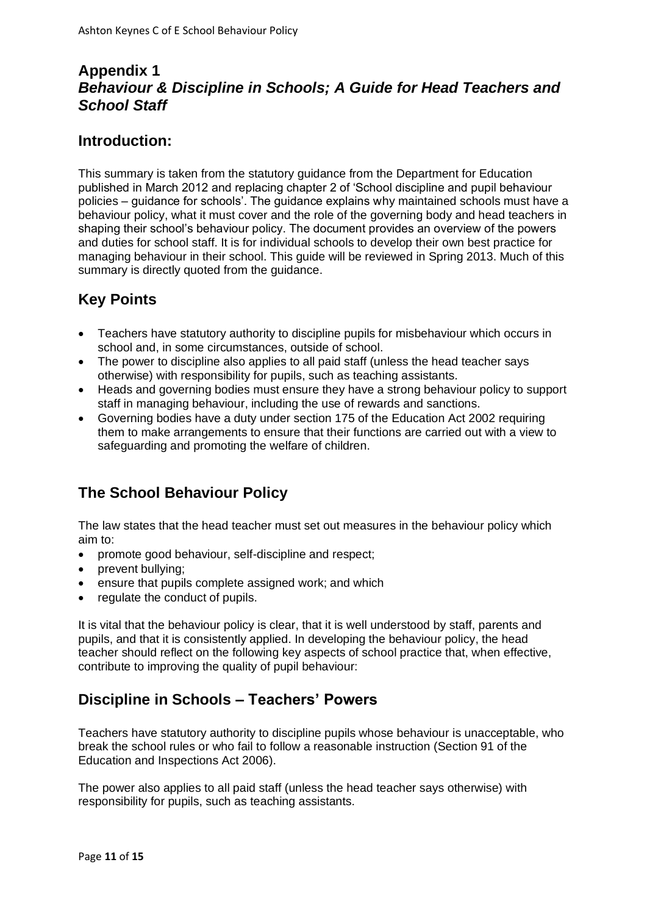## **Appendix 1** *Behaviour & Discipline in Schools; A Guide for Head Teachers and School Staff*

## **Introduction:**

This summary is taken from the statutory guidance from the Department for Education published in March 2012 and replacing chapter 2 of 'School discipline and pupil behaviour policies – guidance for schools'. The guidance explains why maintained schools must have a behaviour policy, what it must cover and the role of the governing body and head teachers in shaping their school's behaviour policy. The document provides an overview of the powers and duties for school staff. It is for individual schools to develop their own best practice for managing behaviour in their school. This guide will be reviewed in Spring 2013. Much of this summary is directly quoted from the guidance.

# **Key Points**

- Teachers have statutory authority to discipline pupils for misbehaviour which occurs in school and, in some circumstances, outside of school.
- The power to discipline also applies to all paid staff (unless the head teacher says otherwise) with responsibility for pupils, such as teaching assistants.
- Heads and governing bodies must ensure they have a strong behaviour policy to support staff in managing behaviour, including the use of rewards and sanctions.
- Governing bodies have a duty under section 175 of the Education Act 2002 requiring them to make arrangements to ensure that their functions are carried out with a view to safeguarding and promoting the welfare of children.

# **The School Behaviour Policy**

The law states that the head teacher must set out measures in the behaviour policy which aim to:

- promote good behaviour, self-discipline and respect;
- prevent bullying;
- ensure that pupils complete assigned work; and which
- regulate the conduct of pupils.

It is vital that the behaviour policy is clear, that it is well understood by staff, parents and pupils, and that it is consistently applied. In developing the behaviour policy, the head teacher should reflect on the following key aspects of school practice that, when effective, contribute to improving the quality of pupil behaviour:

# **Discipline in Schools – Teachers' Powers**

Teachers have statutory authority to discipline pupils whose behaviour is unacceptable, who break the school rules or who fail to follow a reasonable instruction (Section 91 of the Education and Inspections Act 2006).

The power also applies to all paid staff (unless the head teacher says otherwise) with responsibility for pupils, such as teaching assistants.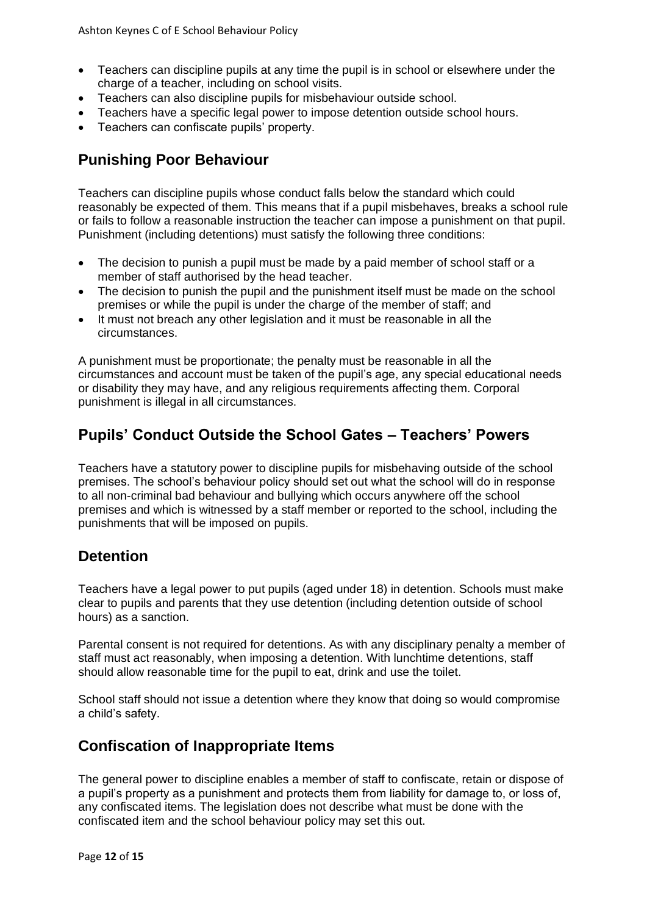- Teachers can discipline pupils at any time the pupil is in school or elsewhere under the charge of a teacher, including on school visits.
- Teachers can also discipline pupils for misbehaviour outside school.
- Teachers have a specific legal power to impose detention outside school hours.
- Teachers can confiscate pupils' property.

## **Punishing Poor Behaviour**

Teachers can discipline pupils whose conduct falls below the standard which could reasonably be expected of them. This means that if a pupil misbehaves, breaks a school rule or fails to follow a reasonable instruction the teacher can impose a punishment on that pupil. Punishment (including detentions) must satisfy the following three conditions:

- The decision to punish a pupil must be made by a paid member of school staff or a member of staff authorised by the head teacher.
- The decision to punish the pupil and the punishment itself must be made on the school premises or while the pupil is under the charge of the member of staff; and
- It must not breach any other legislation and it must be reasonable in all the circumstances.

A punishment must be proportionate; the penalty must be reasonable in all the circumstances and account must be taken of the pupil's age, any special educational needs or disability they may have, and any religious requirements affecting them. Corporal punishment is illegal in all circumstances.

## **Pupils' Conduct Outside the School Gates – Teachers' Powers**

Teachers have a statutory power to discipline pupils for misbehaving outside of the school premises. The school's behaviour policy should set out what the school will do in response to all non-criminal bad behaviour and bullying which occurs anywhere off the school premises and which is witnessed by a staff member or reported to the school, including the punishments that will be imposed on pupils.

#### **Detention**

Teachers have a legal power to put pupils (aged under 18) in detention. Schools must make clear to pupils and parents that they use detention (including detention outside of school hours) as a sanction.

Parental consent is not required for detentions. As with any disciplinary penalty a member of staff must act reasonably, when imposing a detention. With lunchtime detentions, staff should allow reasonable time for the pupil to eat, drink and use the toilet.

School staff should not issue a detention where they know that doing so would compromise a child's safety.

#### **Confiscation of Inappropriate Items**

The general power to discipline enables a member of staff to confiscate, retain or dispose of a pupil's property as a punishment and protects them from liability for damage to, or loss of, any confiscated items. The legislation does not describe what must be done with the confiscated item and the school behaviour policy may set this out.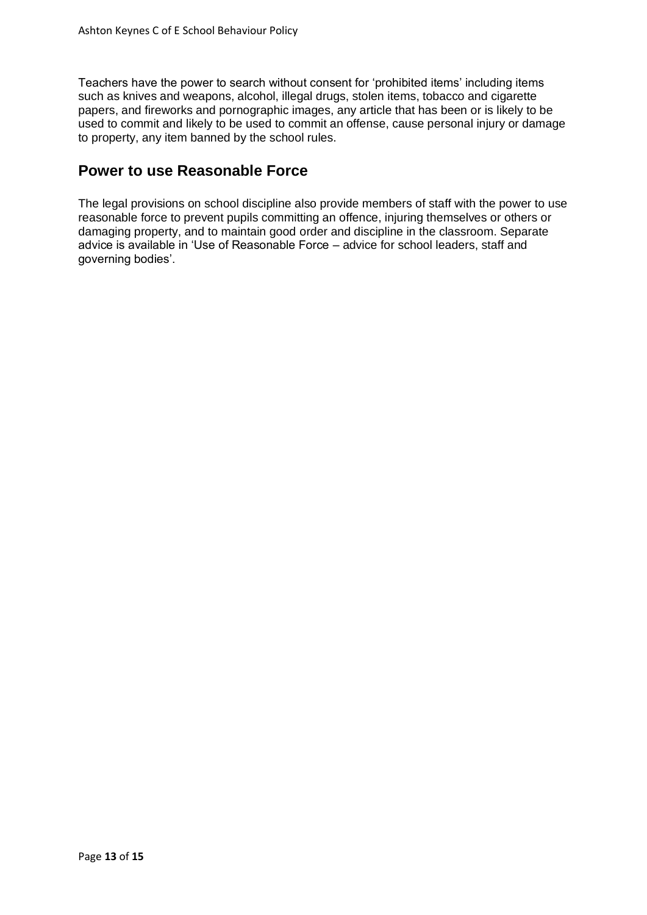Teachers have the power to search without consent for 'prohibited items' including items such as knives and weapons, alcohol, illegal drugs, stolen items, tobacco and cigarette papers, and fireworks and pornographic images, any article that has been or is likely to be used to commit and likely to be used to commit an offense, cause personal injury or damage to property, any item banned by the school rules.

#### **Power to use Reasonable Force**

The legal provisions on school discipline also provide members of staff with the power to use reasonable force to prevent pupils committing an offence, injuring themselves or others or damaging property, and to maintain good order and discipline in the classroom. Separate advice is available in 'Use of Reasonable Force – advice for school leaders, staff and governing bodies'.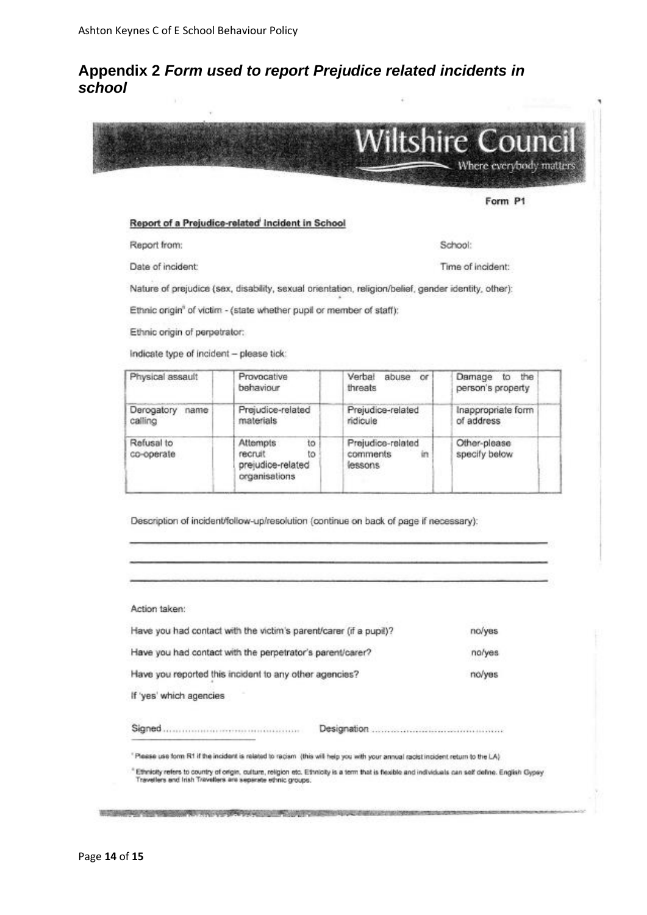#### **Appendix 2** *Form used to report Prejudice related incidents in school*



Form P1

School:

Time of incident:

#### Report of a Prejudice-related Incident in School

Report from:

Date of incident:

Nature of prejudice (sex, disability, sexual orientation, religion/belief, gender identity, other):

Ethnic origin<sup>®</sup> of victim - (state whether pupil or member of staff):

Ethnic origin of perpetrator:

Indicate type of incident - please tick:

| Physical assault           | Provocative<br>behaviour                                              | Verbal<br>abuse<br>or<br>threats               | Damage<br>the<br>to<br>person's property |
|----------------------------|-----------------------------------------------------------------------|------------------------------------------------|------------------------------------------|
| Derogatory name<br>calling | Prejudice-related<br>materials                                        | Prejudice-related<br>ridicule                  | Inappropriate form<br>of address         |
| Refusal to<br>co-operate   | to<br>Attempts<br>to<br>recruit<br>prejudice-related<br>organisations | Prejudice-related<br>comments<br>in<br>lessons | Other-please<br>specify below            |

Description of incident/follow-up/resolution (continue on back of page if necessary):

Action taken:

| Have you had contact with the victim's parent/carer (if a pupil)? | no/yes |        |
|-------------------------------------------------------------------|--------|--------|
| Have you had contact with the perpetrator's parent/carer?         | no/yes |        |
| Have you reported this incident to any other agencies?            |        | no/yes |
| If 'yes' which agencies                                           |        |        |
|                                                                   |        |        |

\* Ethnicity refers to country of origin, culture, religion etc. Ethnicity is a term that is fissible and individuals can self define. English Gypsy<br>Travellers and Irish Travellers are seperate ethnic groups: